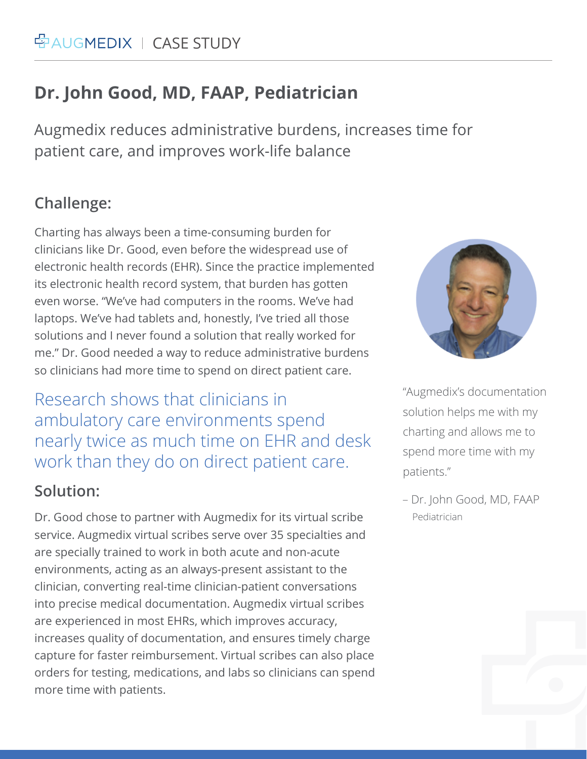# **Dr. John Good, MD, FAAP, Pediatrician**

Augmedix reduces administrative burdens, increases time for patient care, and improves work-life balance

# **Challenge:**

Charting has always been a time-consuming burden for clinicians like Dr. Good, even before the widespread use of electronic health records (EHR). Since the practice implemented its electronic health record system, that burden has gotten even worse. "We've had computers in the rooms. We've had laptops. We've had tablets and, honestly, I've tried all those solutions and I never found a solution that really worked for me." Dr. Good needed a way to reduce administrative burdens so clinicians had more time to spend on direct patient care.

Research shows that clinicians in ambulatory care environments spend nearly twice as much time on EHR and desk work than they do on direct patient care.

### **Solution:**

Dr. Good chose to partner with Augmedix for its virtual scribe service. Augmedix virtual scribes serve over 35 specialties and are specially trained to work in both acute and non-acute environments, acting as an always-present assistant to the clinician, converting real-time clinician-patient conversations into precise medical documentation. Augmedix virtual scribes are experienced in most EHRs, which improves accuracy, increases quality of documentation, and ensures timely charge capture for faster reimbursement. Virtual scribes can also place orders for testing, medications, and labs so clinicians can spend more time with patients.



"Augmedix's documentation solution helps me with my charting and allows me to spend more time with my patients."

Pediatrician – Dr. John Good, MD, FAAP